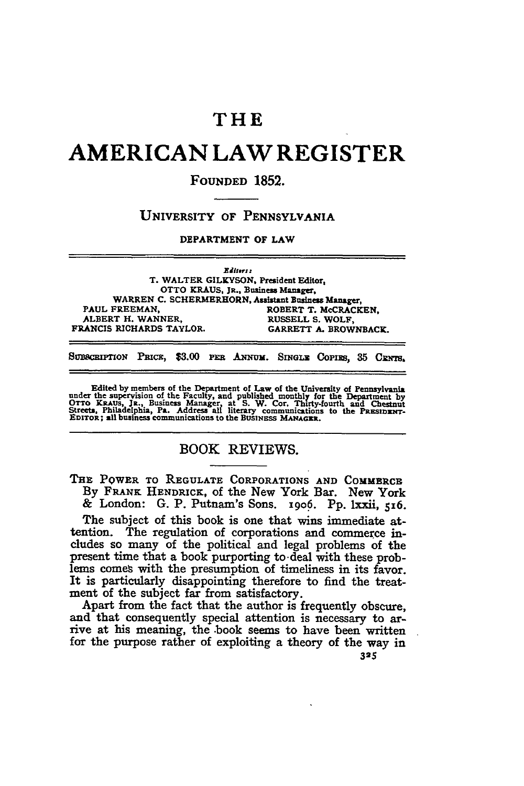# THE

# **AMERICAN LAW REGISTER**

#### **FOUNDED 1852.**

UNIVERSITY OF **PENNSYLVANIA**

DEPARTMENT OF LAW

*Editr,,:* T. WALTER **GILKYSON,** President **Editor,** OTTO KRAUS, JR., Business Manager, WARREN C. SCHERMERHORN, Assistant Business Manager, PAUL FREEMAN, ROBERT T. McCRACK **PAUL** FREEMAN, ROBERT T. **McCRACKEN,** ALBERT H. WANNER, **RUSSELL S. WOLF, RANCIS RICHARDS TAYLOR. GARRETT A. BROW** GARRETT A. BROWNBACK.

SUBSCRIPTION PRICE, \$3.00 PER ANNUM. SINGLE COPIES, 35 CENTS.

Edited by members of the Department of Law of the University of Pennsylvania<br>under the supervision of the Faculty, and published monthly for the Department by<br>OTTO KRAUS, JR., Business Manager, at S. W. Cor. Thirty-fourth **treets,** Philadelphia, **Pa.** Address **aliliterary** communications to the **Pzasinmzrr- EDITOR; all** business communications to **the BUSINESa** *MANAGR.*

## BOOK REVIEWS.

THE PQWER TO **REGULATE** CORPORATIONS **AND** COMMERCE By FRANK HENDRICK, of the New York Bar. New York & London: **G.** P. Putnam's Sons. 19o6. Pp. lxxii, **516.**

The subject of this book is one that wins immediate attention. The regulation of corporations and commerce includes so many of the political and legal problems of the present time that a book purporting to-deal with these problems comes with the presumption of timeliness in its favor. It is particularly disappointing therefore to find the treatment of the subject far from satisfactory.

Apart from the fact that the author is frequently obscure, and that consequently special attention is necessary to arrive at his meaning, the .book seems to have been written for the purpose rather of exploiting a theory of the way in

**325**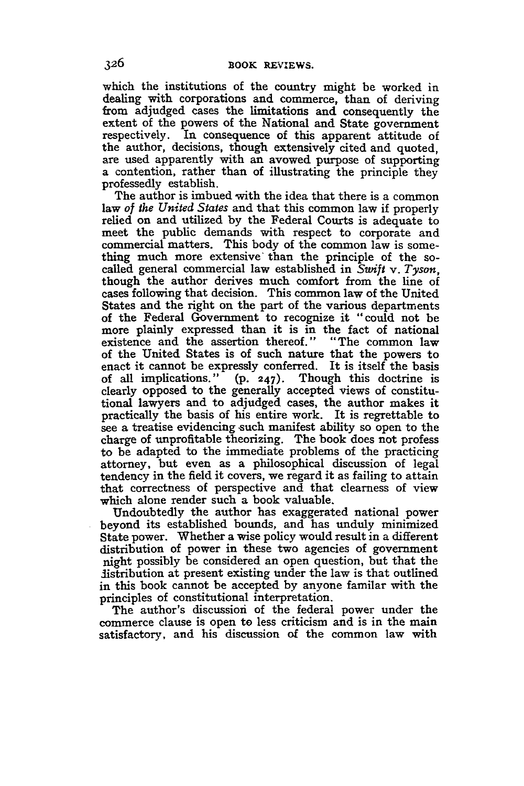which the institutions of the country might be worked in dealing with corporations and commerce, than of deriving from adjudged cases the limitations and consequently the extent of the powers of the National and State government respectively. **In** consequence of this apparent attitude of the author, decisions, though extensively cited and quoted, are used apparently with an avowed purpose of supporting a contention, rather than of illustrating the principle they professedly establish.

The author is imbued with the idea that there is a common law *of the United States* and that this common law if properly relied on and utilized **by** the Federal Courts is adequate to meet the public demands with respect to corporate and commercial matters. This body of the common law is something much more extensive than the principle of the socalled general commercial law established in *Swift v. Tyson,* though the author derives much comfort from the line of cases following that decision. This common law of the United States and the right on the part of the various departments of the Federal Government to recognize it "could not be more plainly expressed than it is in the fact of national existence and the assertion thereof." "The common law of the United States is of such nature that the powers to enact it cannot be expressly conferred. It is itself the basis of all implications." **(P. 247).** Though this doctrine is clearly opposed to the generally accepted views of constitutional lawyers and to adjudged cases, the author makes it practically the basis of his entire work. It is regrettable to see a treatise evidencing such manifest ability so open to the charge of unprofitable theorizing. The book does not profess to be adapted to the immediate problems of the practicing attorney, but even as a philosophical discussion of legal tendency in the field it covers, we regard it as failing to attain that correctness of perspective and that clearness of view which alone render such a book valuable.

Undoubtedly the author has exaggerated national power beyond its established bounds, and has unduly minimized State power. Whether a wise policy would result in a different distribution of power in these two agencies of government night possibly be considered an open question, but that the listribution at present existing under the law is that outlined in this book cannot be accepted **by** anyone familar with the principles of constitutional interpretation.

The author's discussion of the federal power under the commerce clause is open to less criticism and is in the main satisfactory, and his discussion of the common law with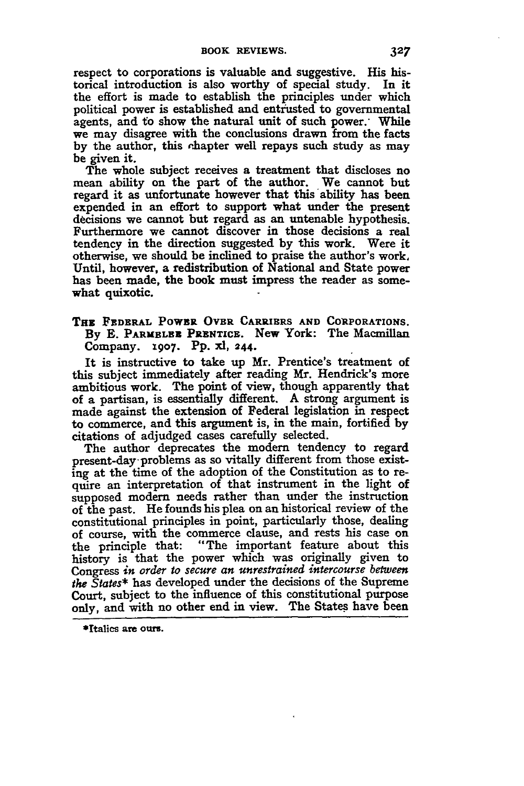respect to corporations is valuable and suggestive. His historical introduction is also worthy of special study. In it the effort is made to establish the principles under which political power is established and entrusted to governmental agents, and to show the natural unit of such power: While we may disagree with the conclusions drawn from the facts **by** the author, this diapter well repays such study as may be given it.

The whole subject receives a treatment that discloses no mean ability on the part of the author. We cannot but regard it as unfortunate however that this ability has been expended in an effort to support what under the present decisions we cannot but regard as an untenable hypothesis. Furthermore we cannot discover in those decisions a real tendency in the direction suggested **by** this work. Were it otherwise, we should be inclined to praise the author's work, Until, however, a redistribution of National and State power has been made, the book must impress the reader as somewhat quixotic.

**THE FEDERAL** POWER OVER **CARRIERS AND CORPORATIONS. By E. PARUELER PRENTICE.** New York: The Macmillan Company. **1907.** Pp. **xl, 244.**

It is instructive to take up Mr. Prentice's treatment of this subject immediately after reading Mr. Hendrick's more ambitious work. The point of view, though apparently that of a partisan, is essentially different. **A** strong argument is made against the extension of Federal legislation in respect to commerce, and this argument is, in the main, fortified **by** citations of adjudged cases carefully selected.

The author deprecates the modern tendency to regard present-day- problems as so vitally different from those existing at the time of the adoption of the Constitution as to require an interpretation of that instrument in the light of supposed modern needs rather than under the instruction of the past. He founds his plea on an historical review of the constitutional principles in point, particularly those, dealing of course, with the commerce clause, and rests his case on the principle that: "The important feature about this history is that the power which was originally given to Congress *in order to secure an unrestrained intercourse between the States\** has developed under the decisions of the Supreme Court, subject to the influence of this constitutional purpose only, and with no other end in view. The States have been

**\*Italics are ours.**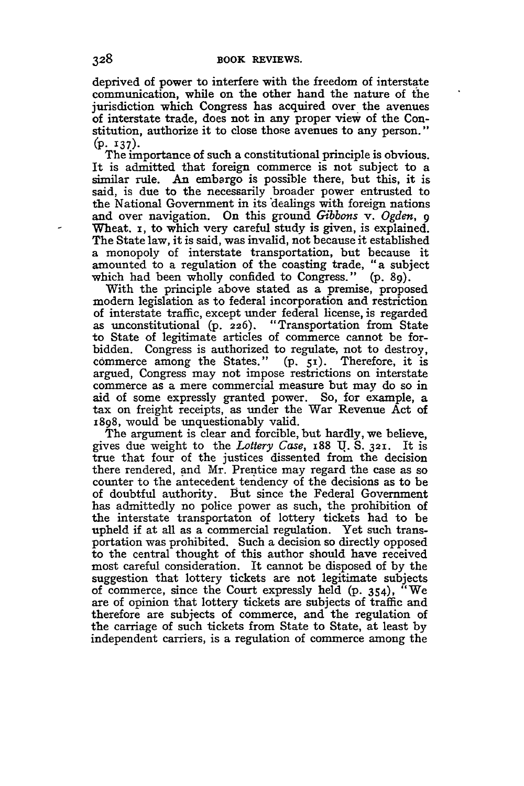deprived of power to interfere with the freedom of interstate communication, while on the other hand the nature of the jurisdiction which Congress has acquired over the avenues of interstate trade, does not in any proper view of the Constitution, authorize it to close those avenues to any person." (p. **137).**

The importance of such a constitutional principle is obvious. It is admitted that foreign commerce is not subject to a similar rule. An embargo is possible there, but this, it is said, is due to the necessarily broader power entrusted to the National Government in its 'dealings with foreign nations and over navigation. On this ground *Gibbons v. Ogden, 9* Wheat. **i,** to which very careful study is given, is explained. The State law, it is said, was invalid, not because it established a monopoly of interstate transportation, but because it amounted to a regulation of the coasting trade, "a subject which had been wholly confided to Congress." **(p. 89).**

With the principle above stated as a premise, proposed modern legislation as to federal incorporation and restriction of interstate traffic, except under federal license, is regarded as unconstitutional **(p. 226).** "Transportation from State to State of legitimate articles of commerce cannot be forbidden. Congress is authorized to regulate, not to destroy, commerce among the States." (p. **51).** Therefore, it is argued, Congress may not impose restrictions on interstate commerce as a mere commercial measure but may do so in aid of some expressly granted power. So, for example, a tax on freight receipts, as under the War Revenue Act of **z898,** would be unquestionably valid.

The argument is clear and forcible, but hardly, we believe, gives due weight to the *Lottery Case,* i88 **U. S. 321.** It is true that four of the justices dissented from the decision there rendered, and Mr. Prentice may regard the case as so counter to the antecedent tendency of the decisions as to be of doubtful authority. But since the Federal Government has admittedly no police power as such, the prohibition of the interstate transportaton of lottery tickets had to be upheld if at all as a commercial regulation. Yet such transportation was prohibited. Such a decision so directly opposed to the central thought of this author should have received most careful consideration. It cannot be disposed of **by** the suggestion that lottery tickets are not legitimate subjects of commerce, since the Court expressly held (p. 354), "We are of opinion that lottery tickets are subjects of traffic and therefore are subjects of commerce, and the regulation of the carriage of such tickets from State to State, at least **by** independent carriers, is a regulation of commerce among the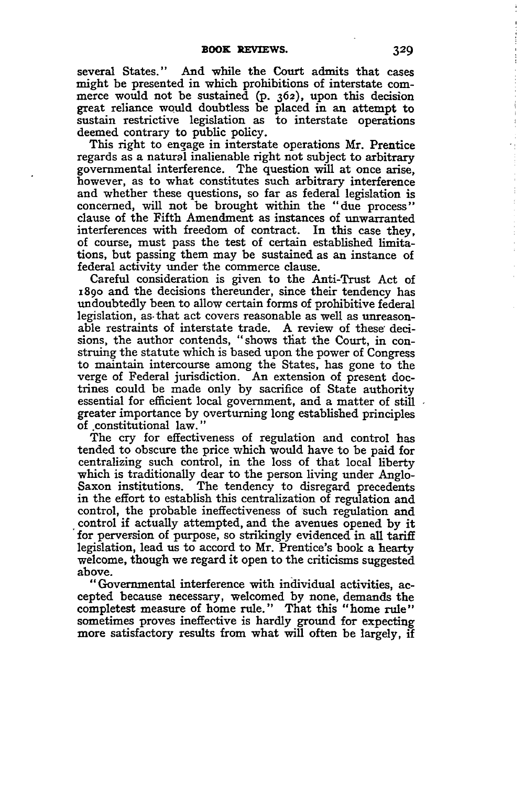several States." And while the Court admits that cases might be presented in which prohibitions of interstate commerce would not be sustained (p. **362),** upon this decision great reliance would doubtless be placed in an attempt to sustain restrictive legislation as to interstate operations deemed contrary to public policy.

This right to engage in interstate operations Mr. Prentice regards as a natural inalienable right not subject to arbitrary governmental interference. The question will at once arise, however, as to what constitutes such arbitrary interference and whether these questions, so far as federal legislation is concerned, will not be brought within the "due process" clause of the Fifth Amendment as instances of unwarranted interferences with freedom of contract. In this case they, of course, must pass the test of certain established limitations, but passing them may be sustained as an instance of federal activity under the commerce clause.

Careful consideration is given to the Anti-Trust Act of **i890** and the decisions thereunder, since their tendency has undoubtedly been to allow certain forms of prohibitive federal legislation, as-that act covers reasonable as well as unreasonable restraints of interstate trade. A review of these decisions, the author contends, "shows that the Court, in construing the statute which is based upon the power of Congress to maintain intercourse among the States, has gone to the verge of Federal jurisdiction. An extension of present doctrines could be made only **by** sacrifice of State authority essential for efficient local government, and a matter of still greater importance **by** overturning long established principles of .constitutional law."

The cry for effectiveness of regulation and control has tended to obscure the price which would have to be paid for centralizing such control, in the loss of that local liberty which is traditionally dear to the person living under Anglo-Saxon institutions. The tendency to disregard precedents in the effort to establish this centralization of regulation and control, the probable ineffectiveness of such regulation and control if actually attempted, and the avenues opened **by** it for perversion of purpose, so strikingly evidenced in all tariff legislation, lead us to accord to Mr. Prentice's book a hearty welcome, though we regard it open to the criticisms suggested above.

"Governmental interference with individual activities, accepted because necessary, welcomed by none, demands the completest measure of home rule." That this "home rule" sometimes proves ineffective is hardly ground for expecting more satisfactory results from what will often be largely, if  $\frac{1}{4}$  $\hat{\mathbf{r}}$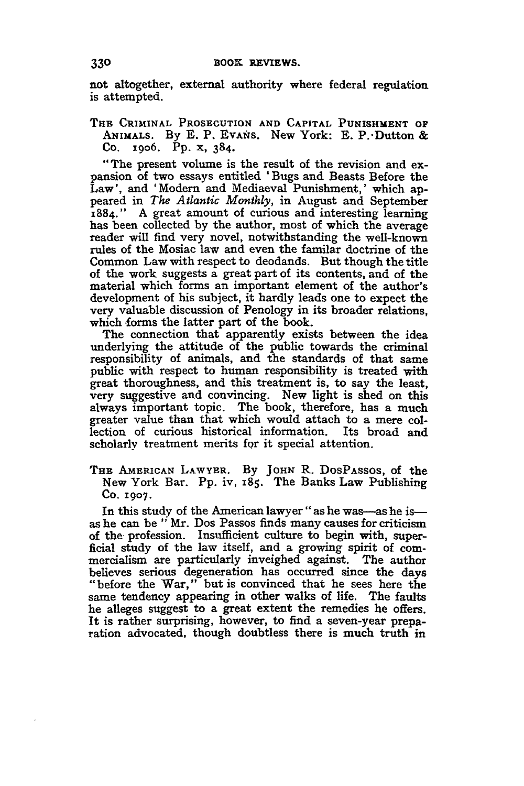not altogether, external authority where federal regulation is attempted.

THE **CRIMINAL PROSECUTION AND CAPITAL PUNISHMENT OF ANIMALS. By** B. P. **EvANs.** New York: B. P.-Dutton **&** Co. **19o6.** Pp. **X,** 384.

"The present volume is the result of the revision and expansion of two essays entitled 'Bugs and Beasts Before the Law', and 'Modern and Mediaeval Punishment,' which appeared in *The Atlantic Monthly,* in August and September 1884." A great amount of curious and interesting learning has been collected by the author, most of which the average reader will find very novel, notwithstanding the well-known rules of the Mosiac law and even the familar doctrine of the Common Law with respect to deodands. But though the title of the work suggests a great part of its contents, and of the material which forms an important element of the author's development of his subject, it hardly leads one to expect the very valuable discussion of Penology in its broader relations, which forms the latter part of the book.

The connection that apparently exists between the idea underlying the attitude of the public towards the criminal responsibility of animals, and the standards of that same public with respect to human responsibility is treated with great thoroughness, and this treatment is, to say the least, very suggestive and convincing. New light is shed on this always important topic. The book, therefore, has a much greater value than that which would attach to a mere collection of curious historical information. Its broad and scholarly treatment merits for it special attention.

**THE AMERICAN LAWYER.** By JOHN R. DosPAssos, of the New York Bar. Pp. iv, 185. The Banks Law Publishing Co. **1907.**

In this study of the American lawyer " as he was-as he isas he can be **"** Mr. Dos Passos finds many causes for criticism of the profession. Insufficient culture to begin with, superficial study of the law itself, and a growing spirit of commercialism are particularly inveighed against. The author believes serious degeneration has occurred since the days "before the War," but is convinced that he sees here the same tendency appearing in other walks of life. The faults he alleges suggest to a great extent the remedies he offers. It is rather surprising, however, to find a seven-year preparation advocated, though doubtless there is much truth in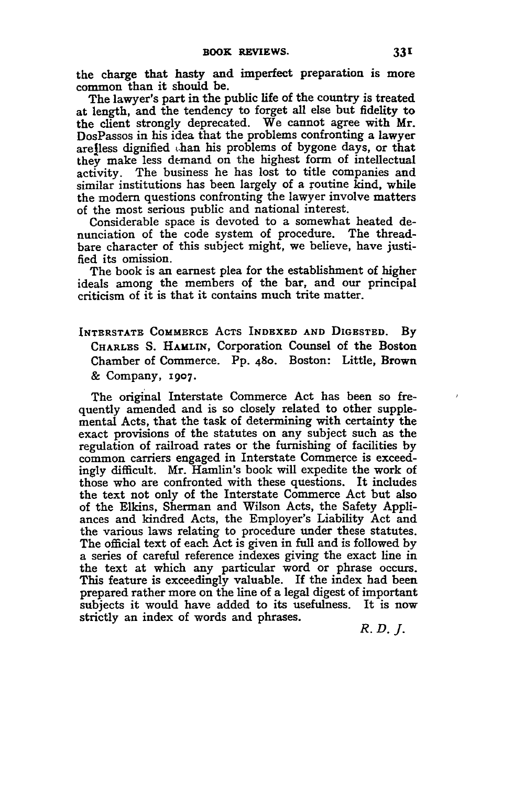the charge that hasty and imperfect preparation is more common than it should be.

The lawyer's part in the public life of the country is treated at length, and the tendency to forget all else but fidelity to the client strongly deprecated. We cannot agree with Mr. DosPassos in his idea that the problems confronting a lawyer are!less dignified than his problems of bygone days, or that they make less demand on the highest form of intellectual activity. The business he has lost to title companies and similar institutions has been largely of a routine kind, while the modem questions confronting the lawyer involve matters of the most serious public and national interest.

Considerable space is devoted to a somewhat heated denunciation of the code system of procedure. The threadbare character of this subject might, we believe, have justified its omission.

The book is an earnest plea for the establishment of higher ideals among the members of the bar, and our principal criticism of it is that **it** contains much trite matter.

### **INTERSTATE COMMERCE ACTS INDEXED AND DIGESTED. By CHARLES S. HAMLIN,** Corporation Counsel of the Boston Chamber of Commerce. Pp. **48o.** Boston: Little, Brown & Company, **1907.**

The original Interstate Commerce Act has been so frequently amended and is so closely related to other supplemental Acts, that the task of determining with certainty the exact provisions of the statutes on any subject such as the regulation of railroad rates or the furnishing of facilities **by** common carriers engaged in Interstate Commerce is exceedingly difficult. Mr. Hamlin's book will expedite the work of those who are confronted with these questions. It includes the text not only of the Interstate Commerce Act but also of the Elkins, Sherman and Wilson Acts, the Safety **Appli**ances and kindred Acts, the Employer's Liability Act and the various laws relating to procedure under these statutes. The official text of each Act is given in full and is followed **by** a series of careful reference indexes giving the exact line in the text at which any particular word or phrase occurs. This feature is exceedingly valuable. If the index had been prepared rather more on the line of a legal digest of important subjects it would have added to its usefulness. It is now strictly an index of words and phrases. *R.D.J.*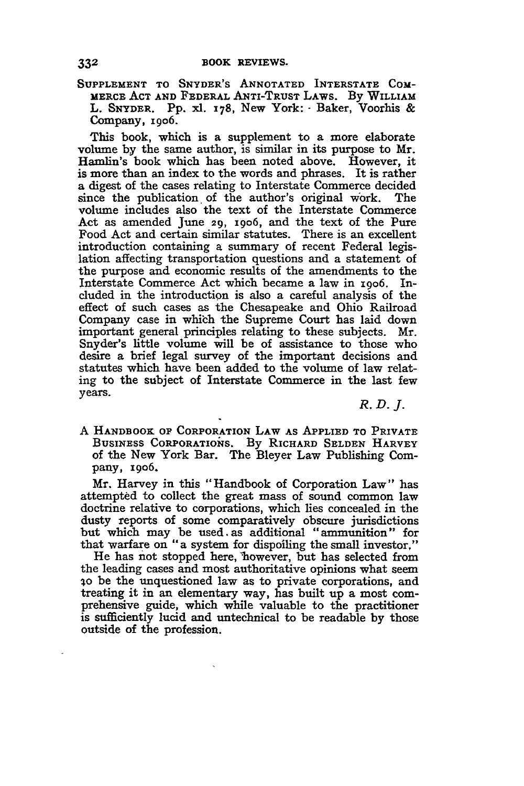**SUPPLEMENT** TO SNYDER'S **ANNOTATED** INTERSTATE **COM-**MERCE **ACT AND FEDERAL ANTI-TRUST** LAWS. **By** WILLIAM L. SNYDER. **Pp. xl. 178,** New York:- Baker, Voorhis **&** Company, **19o6.**

This book, which is a supplement to a more elaborate volume **by** the same author, is similar in its purpose to Mr. Hamlin's book which has been noted above. However, it is more than an index to the words and phrases. It is rather a digest of the cases relating to Interstate Commerce decided since the publication of the author's original work. The volume includes also the text of the Interstate Commerce Act as amended June **29, 19o6,** and the text of the Pure Food Act and certain similar statutes. There is an excellent introduction containing a summary of recent Federal legislation affecting transportation questions and a statement of the purpose and economic results of the amendments to the Interstate Commerce Act which became a law in **19o6.** Included in the introduction is also a careful analysis of the effect of such cases as the Chesapeake and Ohio Railroad Company case in which the Supreme Court has laid down important general principles relating to these subjects. Mr. Snyder's little volume will be of assistance to those who desire a brief legal survey of the important decisions and statutes which have been added to the volume of law relating to the subject of Interstate Commerce in the last few years.

- *R.D.J.*
- **A HANDBOOK OF CORPORATION LAW AS APPLIED TO PRIVATE BUSINESS CORPORATIONS. By RICHARD SELDEN HARVEY** of the New York Bar. The Bleyer Law Publishing Company, 19o6.

Mr. Harvey in this "Handbook of Corporation Law" has attempted to collect the great mass of sound common law doctrine relative to corporations, which lies concealed in the dusty reports of some comparatively obscure jurisdictions but which may be used. as additional "ammunition" for that warfare on "a system for dispoiling the small investor,"

He has not stopped here, however, but has selected from the leading cases and most authoritative opinions what seem 4o be the unquestioned law as to private corporations, and treating it in an elementary way, has built up a most comprehensive guide, which while valuable to the practitioner is sufficiently lucid and untechnical to be readable **by** those outside of the profession.